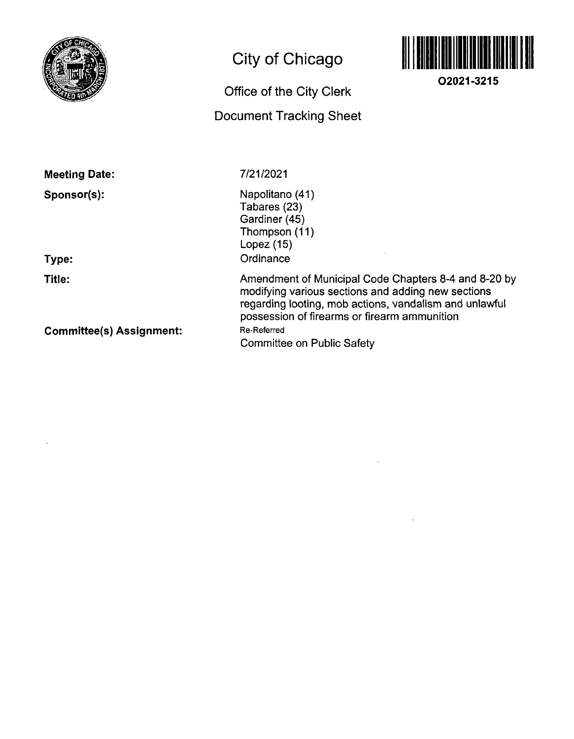

# **City of Chicago**

# **Office of the City Clerk Document Tracking Sheet**



**O2021-3215** 

**Meeting Date:** 

**Sponsor(s):** 

**Type:** 

**Title:** 

**Committee(s) Assignment:** 

7/21/2021

Napolitano (41) Tabares (23) Gardiner (45) Thompson (11) Lopez (15) **Ordinance** 

Amendment of Municipal Code Chapters 8-4 and 8-20 by modifying various sections and adding new sections regarding looting, mob actions, vandalism and unlawful possession of firearms or firearm ammunition Re-Referred Committee on Public Safety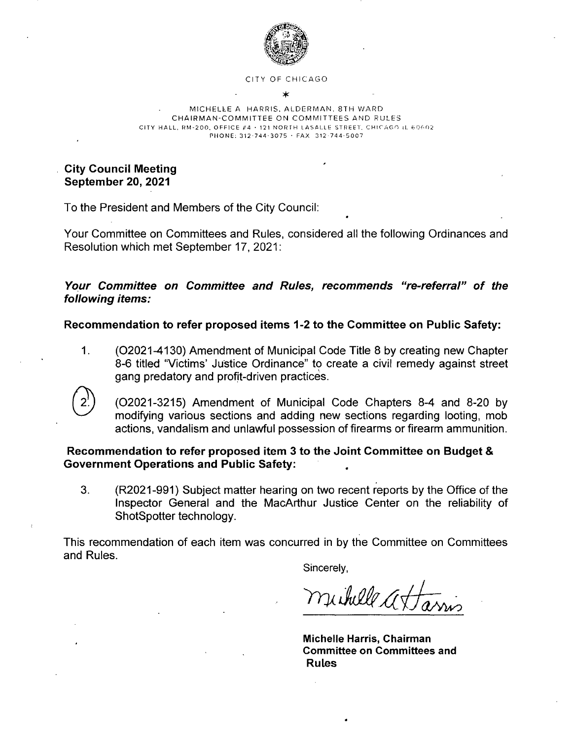

#### CITY OF CHICAGO ۰k

#### MICHELLE A HARRIS, ALDERMAN, 8TH WARD CHAIRMAN-COMMITTEE ON COMMITTEES AND RULES CITY HALL, RM-200, OFFICE #4 + 121 NORTH LASALLE STREET, CHICAGO IL 60602 PHONE: 312-744-3075 · FAX 312-744-5007

**City Council Meeting September 20, 2021** 

To the President and Members of the City Council:

Your Committee on Committees and Rules, considered all the following Ordinances and Resolution which met September 17, 2021:

### **Your Committee on Committee and Rules, recommends "re-referral" of the following items:**

**Recommendation to refer proposed items 1-2 to the Committee on Public Safety:** 

1. (02021-4130) Amendment of Municipal Code Title 8 by creating new Chapter 8-6 titled "Victims' Justice Ordinance" to create a civil remedy against street gang predatory and profit-driven practices.



(02021-3215) Amendment of Municipal Code Chapters 8-4 and 8-20 by modifying various sections and adding new sections regarding looting, mob actions, vandalism and unlawful possession of firearms or firearm ammunition.

### **Recommendation to refer proposed item 3 to the Joint Committee on Budget & Government Operations and Public Safety:**

3. (R2021-991) Subject matter hearing on two recent reports by the Office of the Inspector General and the MacArthur Justice Center on the reliability of ShotSpotter technology.

This recommendation of each item was concurred in by the Committee on Committees and Rules.

Sincerely,

michelle attam

**Michelle Harris, Chairman Committee on Committees and Rules**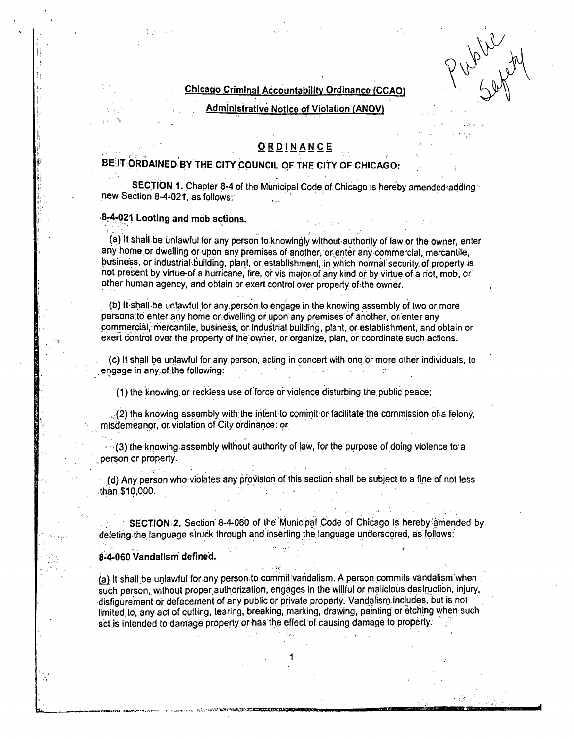#### **Chicago Criminal Accountability Ordinance (CCAO**

when

**Administrative Notice of Violation (ANOV)** 

### ORDINANCE

# |-<br>|-<br>| **| T. ORDAINFD. RY T ORDINANC E**

**BECTION 1. Chapter 8-4 of the Municipal Code of Chicago is becety** SECTliDN 1. Chapter 8-4 of the Municipal Code of Chicago is hereby amended adding new Seclion 8-4-021. as follows:

#### **8r4-p21 Looting and mob actions.**

(a) It shall be unlawful for any person to knowingly without authority of law or the owner, enter any home or dwelling or upon any premises of another, or enter any commercial, mercantile, business, or industrial building, plant, or establishment, in which normal security of property is not present by virtue of a hurricane, fire, or vis major of any kind or by virtue of a riot, mob, or olher human agency, and obtain or exert control over property of the owner.

(b) It shall be, unlawful for any person lo engage in lhe knowing assembly of iwo or more persons to enter any home or dwelling or upon any premises'of another, or enter any commercial, mercantile, business, or industrial building, plant, or establishment, and obtain or exert control over the property of the owner, or organize, plan, or coordinate such actions.

(c) It shall be unlawful for any person, acling in concert wilh one or more olher individuals, lo engage in any of the following:

(1) the knowing or reckless use of force or violence disturbing lhe public peace;

: (2) the knowing assembly with the iritent lo commit or facilitate the commission of a felony, misdemeanor, or violation of City ordinance; or

(3) the knowing assembly without aulhorily of law, for the purpose of doing violence to a . person or property.

(d) Any person who violates any provision of this section shall be subject to a fine of not less than \$10,000.

SECTION 2. Section 8-4-060 of the Municipal Code of Chicago is hereby amended by deleting the language struck through and inserting the language underscored, as follows:

#### **8-4-060 Vandalism defined.**

ff. : i— -, , .sii/i-^ffiriW-ffi-jsasKi

(a) It shall be unlawful for any person lo commit vandalism. A person commits vandalism when such person, without proper authorization, engages in the willful or malicious destruction, injury, disfigurement or defacement of any public or private property. Vandalism includes, but is nol limited to, any act of cutting, tearing, breaking, marking, drawing, painting or etching when such act is intended to damage property or has the effect of causing damage to property.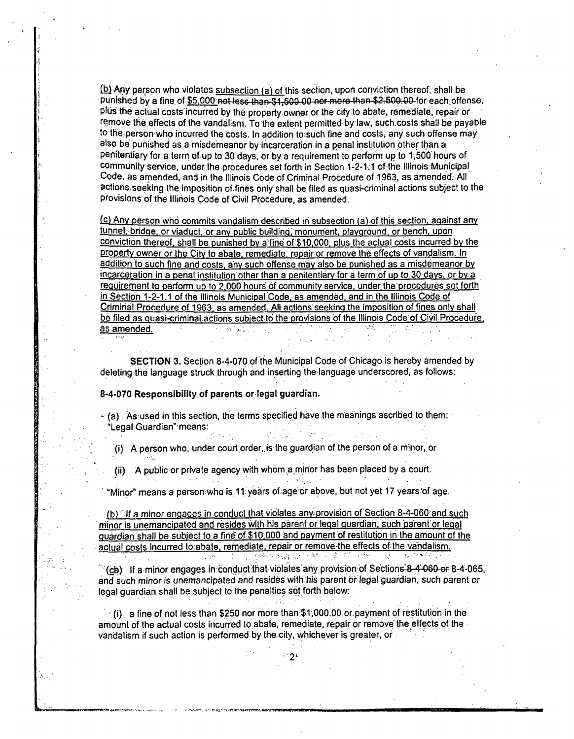$(b)$  Any person who violates subsection (a) of this section, upon conviction thereof, shall be punished by a fine of \$5,000 not less than \$1,500.00 nor more than \$2.500.00 for each offense, pliis the actual costs incurred by the property owner or the city to abate, remediate, repair or remove the effects ofthe vandalism. To the exlent permitted by law, suchcosts shail be payable to the person who incurred lhe cosls. In addition to such fine and cosls, any such offense may also be punished as a misdemeanor by incarceration in a penal institution other than a penitentiary for a term of up to 30 days, or by a requirement to perform up to 1,500 hours of community service, under the procedures set forth in Section 1-2-1.1 of the Illinois Municipal Code, as amended, and in the Illinois Code of Criminal Procedure of 1963, as amended. All actions, seeking the imposition of fines only shall be filed as quasi-criminal actions subject to the provisions of the Illiriois Code of Civil Procedure, as amended.

(c) Anv person who commits vandalism described iri subsection (a) of this sectibn. againsl any tunnel, bridge, or viaduct, or anv public building; monument, playground, or bench, upon conviction thereof, shall be punished by a fine of \$10,000, plus the actual costs incurred by the property owner or the City to abate, remediate, repair or remove the effects of vandalism. In addition to such fine and costs, any such offense may also be punished as a misdemeanor by incarceration in a penal institution other than a penitentiary for a term of up to 30 days, or by a requirement to perform up to 2,000 hours of community service, under the procedures set forth in. Section 1-2-1.1 of the Illinois Municipal Code, as amended, and in the Illinois Code of Criminal Procedure of 1963. as amended: All actions seeking the imposition of fines onlv shall be filed as quasi-criminal actions subject to the provisions of the Illinois Code of Civil Procedure, as amended. ika Nijeriya.

SECTION 3. Seclion 8-4-070 of the Municipal Code of Chicago is hereby amended by deleting the language struck through and inserting the language underscored, as follows:

#### **8-4-070 Responsibility of parents or legal guardian.**

 $\sim$ 

- $(A)$  As used in this section, the terms specified have the meanings ascribed to them: "Legal Guardian" means:
	- (i) A person who, under court order, is the guardian of the person of a minor, or
	- (ii) A public or private agency with whom.a mjrior has been placed by a court.

් වෙන් දැකින

"Minor" means a person who is 11 years of age or above, but not yet 17 years of age.

fb) If a minor engages in conduct lhat violates any-provision of Seclion 8-4-060 and such niinor is unemancipated and resides wilh his parent or legal guardian, such "parent or legal guardian shall be subject to a fine of \$10,000 and payment of restitution in the amount of the actual costs incurred to abate, remediate, repair or remove the effects of the vandalism.

 $^{\circ}$  (cb) If a minor engages in conduct that violates any provision of Section6-8-4-060 or 8-4-065, and such minor is unemancipated and resides wilh his parent or legal guardian, such parent or legal quardian shall be subject to the penalties set forth below:

 $\Delta_{\rm{eff}}$ 

 $\cdot$  (i) a fine of not less than \$250 nor more than \$1,000.00 or payment of restitution in the amount of the actual costs incurred to abate, remediate, repair or remove the effects of the vandalism if such action is performed by the. city, whichever is greater, or

 $^{\circ}$ 2' $^{\circ}$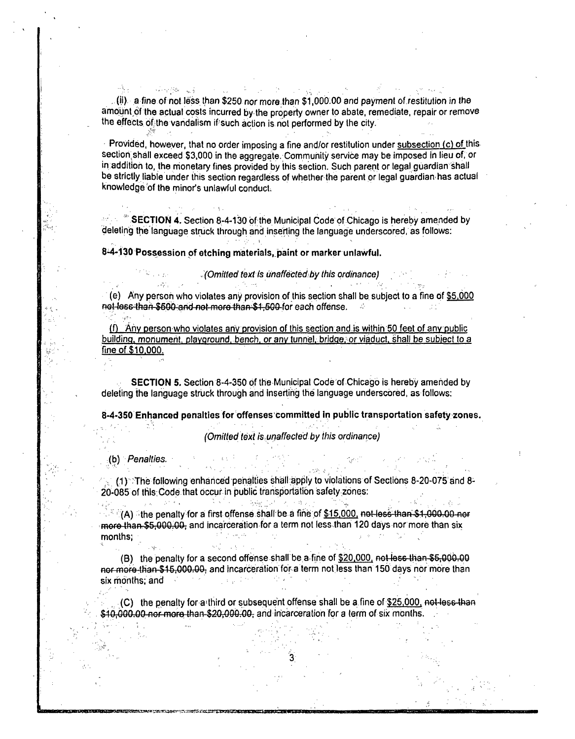4km - 사용 사 i Polonia și s ,  $(i)$  a fine of not less than \$250 nor more than \$1,000.00 and payment of restitution in the amount of the actual costs incurred by the property owner to abate, remediate, repair or remove the effects of the vandalism if such action is not performed by the city.

Provided, however, that no order imposing a fine and/or restitution under subsection (c) of this section shall exceed \$3,000 in the aggregate. Community service may be imposed in lieu of, or in addition to, the monetary fines provided by this section. Such parent or legal guardian shall be strictly liable under this section regardless of whelher the parent or legal guardian has actual knowledge of the minor's unlawful conduct.

**SECTION 4. Section 8-4-130 of the Municipal Code of Chicago is hereby amended by** deleting the language struck through and inserting the language underscored, as follows:

8-4-130 Possession of etching materials, paint or marker unlawful.

The Committee of the (e) Any person who violates any provision of this section shall be subject to a fine of  $$5,000$  net less than \$600 and not more than \$1,500 for each offense.

(Omitted text Is unaffected by this ordinance)

(f) Any person who violates any provision of this seclion and is wiihin 50 feel of any public building, monument, playground, bench, or any tunnel, bridge, or viaduct, shall be subject to a fine of \$10.000.

SECTION 5. Section 8-4-350 of the Municipal Code of Chicago is hereby amended by deleting the language struck through and inserting the language underscored, as follows:

**8-4-350 Enhanced penalties for offenses committed in public transportation safety zones.** 

(Omitted text is unaffected by this ordinance)

(b) Penalties.

 $(1)$  : The following enhanced penalties shall apply to violations of Sections 8-20-075 and 8-20-085 of this: Code that occur in public transportation safety zones:

 $\cdot$   $\cdot$   $\cdot$  (A)  $\cdot$  the penalty for a first offense shall be a fine of \$15.000. not-less than \$1,000.00 nor more than \$5,000.00, and incarceration for a term not less than 120 days nor more than six<br>months: months;

ા હતા કે, પાંચ માટે કે કે કે કે કે પાંચ મુજબ જ પાક છે. જે કે કે કે

(B) the penalty for a second offense shall be a fine of  $$20,000$ , not less than  $$5,000.00$ nor more than \$15,000.00, and incarceration for a term not less than 150 days nor more than six months; and in Salaman

(C) the penalty for a third or subsequent offense shall be a fine of \$25,000, not less than \$10,000.00-nor-more than-\$20,000.00, and incarceration for a term of six months.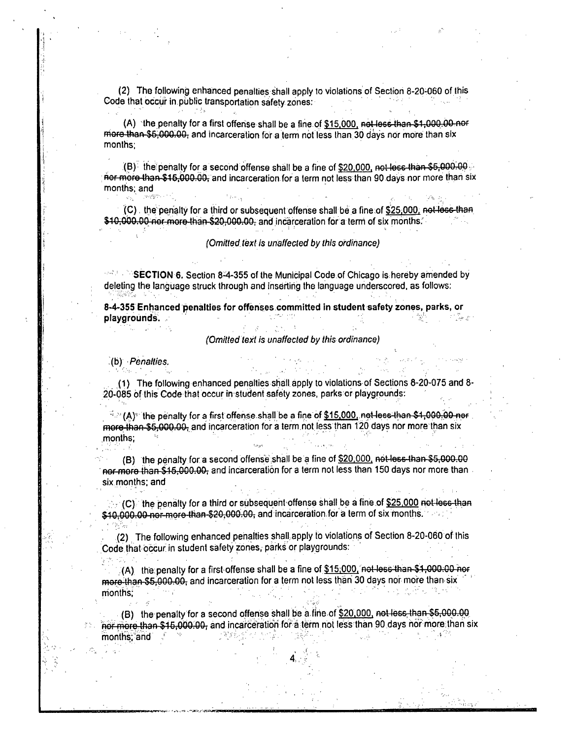(2) The following enhanced penalties shall apply to violations of Seclion 8-20-060 of this Code that occur in public transportation safety zones:

(A) the penally for a first offense shall be a fine of \$15,000, not less than \$1,000.00 nor more than \$6,000.00, and incarceration for a term not less than 30 days nor more than six monlhs;

 $(B)$  the penalty for a second offense shall be a fine of \$20,000, not loss than \$5,000.00  $\cdot$ nor more-than-\$15,000.00, and incarceration for a term not less than 90 days nor more than six months; and

(C) , the penalty for a third or subsequent offense shall be a fine of \$25.000, not less thafl \$10,000.00 nor more than \$20,000.00, and incarceration for a term of six months.

(Omitted text is unaffected by this ordinance)

 $\mathbb{R}^3 \to \mathbb{S}$ ECTION 6. Section 8-4-355 of the Municipal Code of Chicago is hereby amended by deleting the language struck ihrough and inserting the language underscored, as follows:

**8-4-355 Enhanced penalties for offenses committed in student safety zones, parks, or playgrounds. .-• •** 

#### (Omitted text is unaffected by this ordinance)

(b) Penalties.

Ýh.

(1) The following enhanced penalties shall apply lo violations of Seclions 8-20-075 and 8- 20-085 of this Code thai occur in student safety zones, parks or playgrounds:

 $\sim$  (A) $^{\circ}$  the penalty for a first offense shall be a fine of  $$15,000$  net-less than  $$4,000.00$  ner . more than \$5,000.00; and incarceration for a term not less than 120 days nor more than six monlhs;

(B) the penalty for a second offense shall be a fine of \$20,000, not less than \$5,000.00 nor more than \$15,000.00, and incarceration for a term not less than 150 days nor more than six months; and

 $(C)$  the penally for a third or subsequent-offense shall be a fine of \$25,000 not less than \$10,000.00 nor-more than \$20,000.00, and incarceration for a term of six months.

(2) The following enhanced penalties shall apply to violations of Section 8-20-060 of this Code that occur in student safety zones, parks or playgrounds:

 $(A)$  the penalty for a first offense shall be a fine of  $$15,000$ , not less than \$1,000.00 nor more than \$5,000.00, and incarceration for a term not less than 30 days nor more than six months;

(B) the penalty for a second offense shall be a fine of \$20,000. not less, than \$5,000.00 Bor more than \$15,000.00, and incarceration for a term not less than 90 days nor more than six months;"and: : :Z \* : /Z':Z / /Z':Z + : /Z':Z + : /Z':Z + + : /Z

*'•je.->..-'it^s!xjnwm*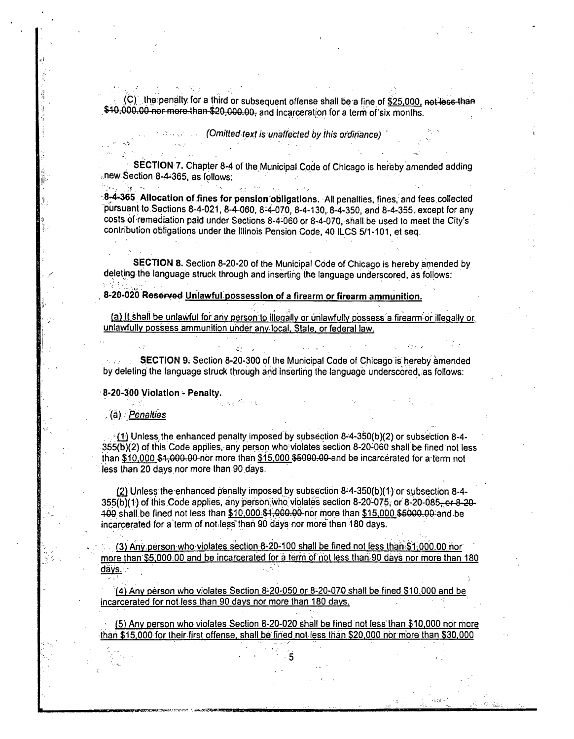$(C)$  the penalty for a third or subsequent offense shall be a fine of \$25,000, not less than \$10,000.00 nor more than \$20,000.00, and incarceration for a term of six months.

(Omitted text is unaffected by this ordinance)

SECTION 7. Chapler 8-4 of the Municipal Code of Chicago is hereby amended adding **new Section 8-4-365, as follows:** 

8;4-365 Allocation of fines for pension obligations. All penalties, fines, and fees collected pursuant to Sections 8-4-021, 8-4-060, 8-4-070, 8-4-130, 8-4-350, and 8-4-355, except for any costs of remediation paid under Seclions 8-4-060 or 8-4-070, shall be used lo meet the Cily's conlribulion obiigaiions under the Illinois Pension Code, 40 ILCS 5/1-101, et seq.

SECTION 8. Seclion 8-20-20 of the Municipal Code of Chicago is hereby amended by deleting the language struck through and inserting the language underscored, as follows:

**8-20-020 Reserved Unlawful possession of a firearm or firearm ammunition.** 

(a) ll shali be unlawful for any person to illegally or unlawfully possess a.firearm or illegally or unlawfully possess ammunition under anylocal. Slale. or federal law.

SECTION 9: Section 8-20-300 of the Municipal Code of Chicago is hereby amended by deleting the language struck through and inserting the language underscored, as follows:

**8-20-300 Violation - Penalty.** 

. (a) Penalties

 $<sub>x</sub>(1)$  Unless the enhanced penalty imposed by subsection 8-4-350(b)(2) or subsection 8-4-</sub> 355(b)(2) of tiiis Code applies, any person who: violates section 8-20-060 shall be fined not less lhan \$10.000 \$1.000.00 nor more than \$15.000 \$§00070&-and be incarcerated for a term nol less than 20 days nor more than 90 days,

(2) Unless the enhanced penalty imposed by subseclion 8-4-350(b)(1) or subsection 8-4- 355(b)(1) of this Code applies, any person; who violates section 8-20-075, or 8-20-085, or 8-20-100 shall be fined not less than \$10,000.\$1,000.00 nor more than \$15,000 \$5000.00 and be incarcerated for a term of not less than 90 days nor more than 180 days.

(3) Anv person who violates section 8-20-100 shall be fined nol less than \$1,000.00 nor more than \$5,000.00 and be incarcerated for a term of not less than 90 days nor more than 180 days. -

(4) Any person who violates Section 8-20-050 or 8-20-070 shall be fined \$10.000 and be incarcerated for not less than 90 days nor more than 180 days.

: (5) Any person who violates Section 8-20-020 shall be fined not less than \$10.000 nor more -than \$15.000 for their first offense, shall be:fined notless than \$20.000 nbrmore than \$30,000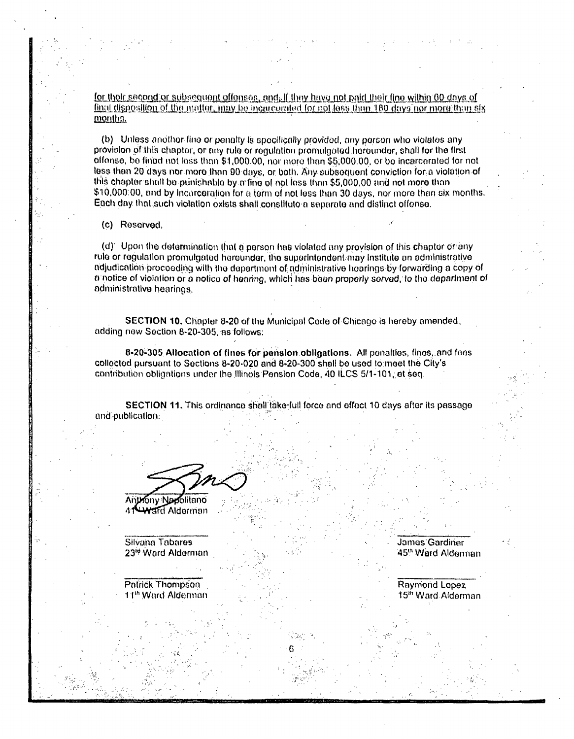<u>for thoir second or subsequent offenses, and, if they have not paid their fine within 60 days of</u> final disposition of the matter, may be incurrented for not less thun 180 days nor more than six months.

(b) Unless another fine or penalty is spocifically provided, any person who violates any provision of this chapter, or any rule or regulation promuigated horoundor, shall for the first offense, bo fined not loss than \$1,000.00, nor more than \$5,000.00, or bo incarcorated for not less than 20 days nor more than 90 days, or both. Any subsequent conviction for a violation of this chapter shall bo punishablo by a fine of not less than \$5,000,00 and not more than \$10,000:00, and by incorceration for a term of not less than 30 days, nor more than six months. Each day that such violation oxists shall constitute a separate and distinct offonse.

(c) Reserved.

(d) Upon the determination that a person has violated any provision of this chaptor or any rule or regulation promulgated herounder, the superintendent may institute an administrative ndjudication procooding with the department of administrative hearings by forwarding a copy of a notice of violation or a notico of hearing, which has boon proporly served, to tho dopartmont of administrative hearings.

SECTION 10. Chapler 8-20 of the Municipal Code of Chicago is hereby amended. adding now Seclion 8-20-305. as follows:

8-20-305 Allocation of fines for pension obligations. All penalties, fines, and fees collected pursuant to Sections 8-20-020 and 8-20-300 shall bo used to meet the City's contribution obligations under the Illinois Pension Code, 40 ILCS 5/1-101, et seq.

SECTION 11. This ordinance shall take full force and offect 10 days after its passage and-publication.

**Anthony Napolitano** 

**41 Ward Alderman** 

Silvana Tabares -, Jamas Gardiner<br>23<sup>%</sup> Ward Alderman - Jamas Jamas Jamas Gardiner

Patrick Thompson Raymond Lopez<br>
11<sup>th</sup> Ward Alderman **Raymond Lopez**<br>
15<sup>th</sup> Ward Alderman **Raymond Lopez** 

45<sup>th</sup> Ward Alderman

15<sup>th</sup> Ward Alderman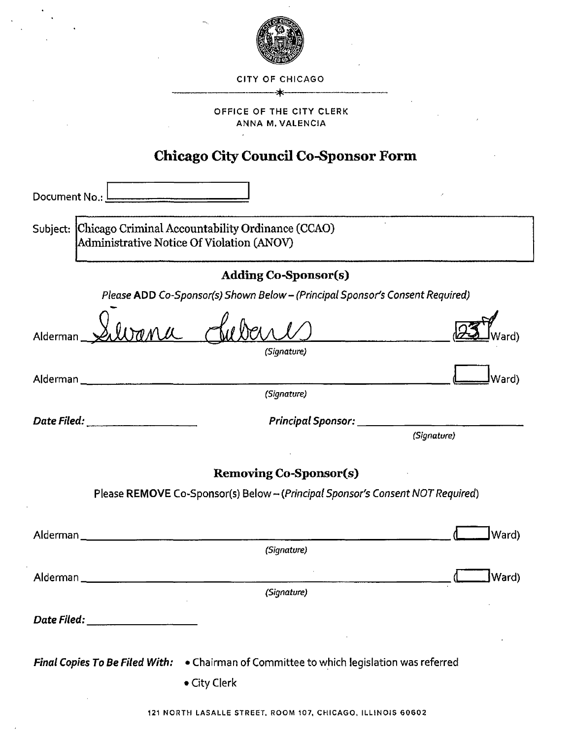

#### CITY OF CHICAGO

- \*

#### OFFICE OF THE CITY CLERK ANNA M.VALENCIA

## **Chicago City Council Co-Sponsor Form**

| Document No.: I<br><u> 1980 - Jane Jane</u> II, princess                                                        |  |  |  |  |
|-----------------------------------------------------------------------------------------------------------------|--|--|--|--|
| Subject: Chicago Criminal Accountability Ordinance (CCAO)<br>Administrative Notice Of Violation (ANOV)          |  |  |  |  |
| <b>Adding Co-Sponsor(s)</b>                                                                                     |  |  |  |  |
| Please ADD Co-Sponsor(s) Shown Below - (Principal Sponsor's Consent Required)                                   |  |  |  |  |
| Alderman_<br>(Signature)                                                                                        |  |  |  |  |
|                                                                                                                 |  |  |  |  |
| (Ward<br>(Signature)                                                                                            |  |  |  |  |
| Principal Sponsor: ________<br>(Signature)                                                                      |  |  |  |  |
| <b>Removing Co-Sponsor(s)</b><br>Please REMOVE Co-Sponsor(s) Below - (Principal Sponsor's Consent NOT Required) |  |  |  |  |
| Ward)<br>Alderman____                                                                                           |  |  |  |  |
| (Signature)                                                                                                     |  |  |  |  |
| Ward)<br>Alderman_                                                                                              |  |  |  |  |
| (Signature)                                                                                                     |  |  |  |  |
| Date Filed: _____________________                                                                               |  |  |  |  |
| Final Copies To Be Filed With: . Chairman of Committee to which legislation was referred<br>• City Clerk        |  |  |  |  |

121 NORTH LASALLE STREET, ROOM 107. CHICAGO, ILLINOIS 60602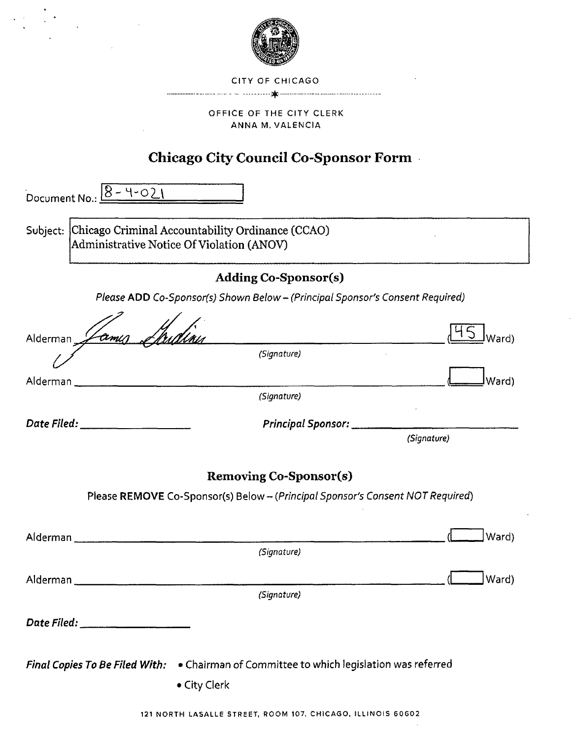

#### CITY OF CHICAGO

#### 

#### OFFICE OF THE CITY CLERK ANNA M, VALENCIA

### **Chicago City Council Co-Sponsor Form**

Document No.:  $8 - 4 - 021$ 

Subject: Chicago Criminal Accountability Ordinance (CCAO) Administrative Notice Of Violation (ANOV)

### **Adding Co-Sponsor(s)**

Please ADD Co-5ponsor(s) Shown Below-(Principal Sponsor's Consent Required)

| Alderman Lamus                     |                                                                                          | Ward)       |
|------------------------------------|------------------------------------------------------------------------------------------|-------------|
|                                    | (Signature)                                                                              |             |
|                                    |                                                                                          | Ward)       |
|                                    | (Signature)                                                                              |             |
| Date Filed: ____________________   | Principal Sponsor: __________                                                            |             |
|                                    |                                                                                          | (Signature) |
|                                    | <b>Removing Co-Sponsor(s)</b>                                                            |             |
|                                    | Please REMOVE Co-Sponsor(s) Below - (Principal Sponsor's Consent NOT Required)           |             |
|                                    |                                                                                          |             |
|                                    |                                                                                          | Ward)       |
|                                    | (Signature)                                                                              |             |
|                                    |                                                                                          | Ward)       |
|                                    | (Signature)                                                                              |             |
| Date Filed: ______________________ |                                                                                          |             |
|                                    |                                                                                          |             |
|                                    | Final Copies To Be Filed With: . Chairman of Committee to which legislation was referred |             |
|                                    | • City Clerk                                                                             |             |
|                                    | 121 NORTH LASALLE STREET, ROOM 107, CHICAGO, ILLINOIS 60602                              |             |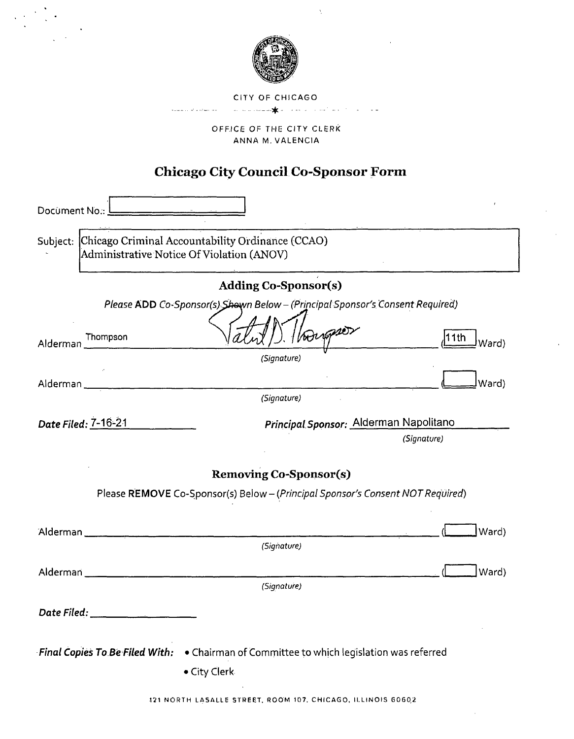

 $\bar{\lambda}$ 

CITY OF CHICAGO

.<br>Samun al-Andrew Art

THE CITY CLERK<br>M. VALENCIA<br>m. VALENCIA

# **Chicago City Council Co-Sponsor Form**

| Document No.:                                                                                          |              |                               |                                                                                |       |
|--------------------------------------------------------------------------------------------------------|--------------|-------------------------------|--------------------------------------------------------------------------------|-------|
| Subject: Chicago Criminal Accountability Ordinance (CCAO)<br>Administrative Notice Of Violation (ANOV) |              |                               |                                                                                |       |
|                                                                                                        |              | <b>Adding Co-Sponsor(s)</b>   |                                                                                |       |
|                                                                                                        |              |                               | Please ADD Co-Sponsor(s) Shown Below - (Principal Sponsor's Consent Required)  |       |
| Thompson<br>Alderman                                                                                   |              | Voorper                       | 11th                                                                           | Ward) |
|                                                                                                        |              | (Signature)                   |                                                                                |       |
| Alderman                                                                                               |              |                               |                                                                                | Ward) |
|                                                                                                        |              | (Signature)                   |                                                                                |       |
| Date Filed: 7-16-21                                                                                    |              |                               | Principal Sponsor: Alderman Napolitano                                         |       |
|                                                                                                        |              |                               | (Signature)                                                                    |       |
|                                                                                                        |              |                               |                                                                                |       |
|                                                                                                        |              | <b>Removing Co-Sponsor(s)</b> |                                                                                |       |
|                                                                                                        |              |                               | Please REMOVE Co-Sponsor(s) Below - (Principal Sponsor's Consent NOT Required) |       |
|                                                                                                        |              |                               |                                                                                |       |
| Alderman ______________________________                                                                |              | (Signature)                   |                                                                                | Ward) |
|                                                                                                        |              |                               |                                                                                |       |
|                                                                                                        |              |                               |                                                                                | Ward) |
|                                                                                                        |              | (Signature)                   |                                                                                |       |
| Date Filed: _______________                                                                            |              |                               |                                                                                |       |
|                                                                                                        |              |                               |                                                                                |       |
| Final Copies To Be Filed With: . Chairman of Committee to which legislation was referred               |              |                               |                                                                                |       |
|                                                                                                        | • City Clerk |                               |                                                                                |       |
|                                                                                                        |              |                               |                                                                                |       |

121 NORTH LASALLE STREET. ROOM 107. CHICAGO, ILLINOIS 6060,2